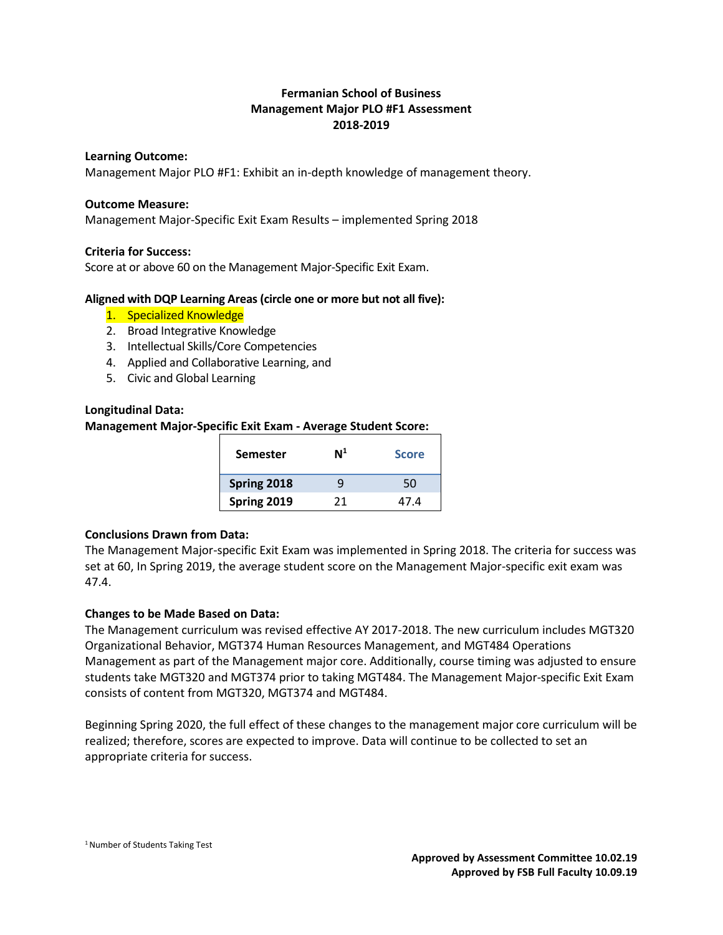# **Fermanian School of Business Management Major PLO #F1 Assessment 2018-2019**

#### **Learning Outcome:**

Management Major PLO #F1: Exhibit an in-depth knowledge of management theory.

#### **Outcome Measure:**

Management Major-Specific Exit Exam Results – implemented Spring 2018

#### **Criteria for Success:**

Score at or above 60 on the Management Major-Specific Exit Exam.

#### **Aligned with DQP Learning Areas (circle one or more but not all five):**

- 1. Specialized Knowledge
- 2. Broad Integrative Knowledge
- 3. Intellectual Skills/Core Competencies
- 4. Applied and Collaborative Learning, and
- 5. Civic and Global Learning

# **Longitudinal Data:**

#### **Management Major-Specific Exit Exam - Average Student Score:**

| <b>Semester</b> | $\mathsf{N}^1$ | <b>Score</b> |
|-----------------|----------------|--------------|
| Spring 2018     | q              | 50           |
| Spring 2019     | 21             | 47.4         |

# **Conclusions Drawn from Data:**

The Management Major-specific Exit Exam was implemented in Spring 2018. The criteria for success was set at 60, In Spring 2019, the average student score on the Management Major-specific exit exam was 47.4.

# **Changes to be Made Based on Data:**

The Management curriculum was revised effective AY 2017-2018. The new curriculum includes MGT320 Organizational Behavior, MGT374 Human Resources Management, and MGT484 Operations Management as part of the Management major core. Additionally, course timing was adjusted to ensure students take MGT320 and MGT374 prior to taking MGT484. The Management Major-specific Exit Exam consists of content from MGT320, MGT374 and MGT484.

Beginning Spring 2020, the full effect of these changes to the management major core curriculum will be realized; therefore, scores are expected to improve. Data will continue to be collected to set an appropriate criteria for success.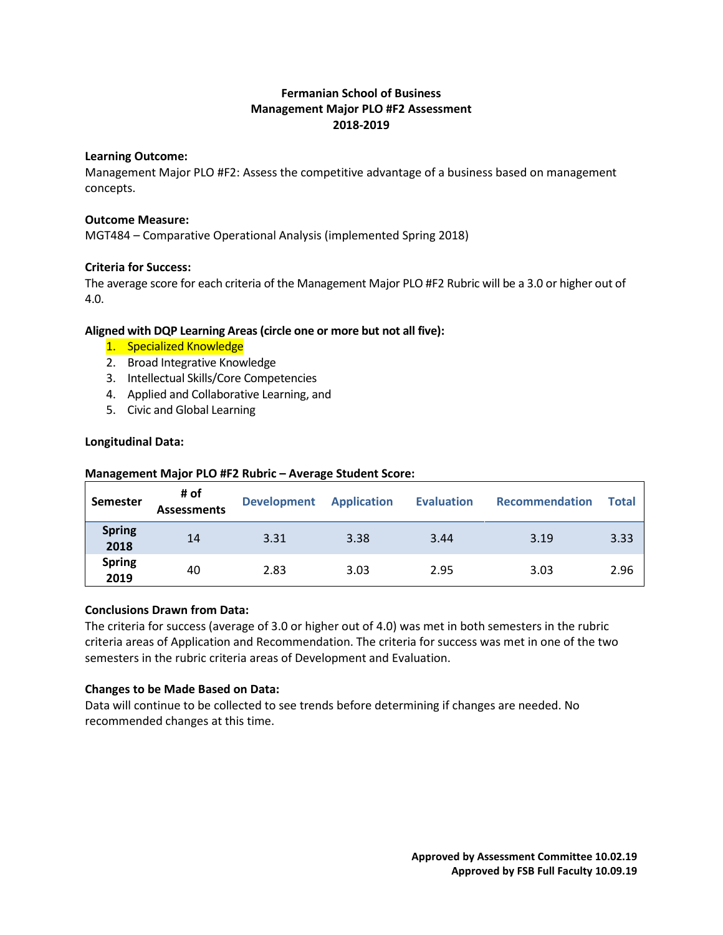# **Fermanian School of Business Management Major PLO #F2 Assessment 2018-2019**

#### **Learning Outcome:**

Management Major PLO #F2: Assess the competitive advantage of a business based on management concepts.

#### **Outcome Measure:**

MGT484 – Comparative Operational Analysis (implemented Spring 2018)

# **Criteria for Success:**

The average score for each criteria of the Management Major PLO #F2 Rubric will be a 3.0 or higher out of 4.0.

# **Aligned with DQP Learning Areas (circle one or more but not all five):**

- 1. Specialized Knowledge
- 2. Broad Integrative Knowledge
- 3. Intellectual Skills/Core Competencies
- 4. Applied and Collaborative Learning, and
- 5. Civic and Global Learning

#### **Longitudinal Data:**

| Semester              | # of<br><b>Assessments</b> | <b>Development Application</b> |      | <b>Evaluation</b> | Recommendation | Total |
|-----------------------|----------------------------|--------------------------------|------|-------------------|----------------|-------|
| <b>Spring</b><br>2018 | 14                         | 3.31                           | 3.38 | 3.44              | 3.19           | 3.33  |
| <b>Spring</b><br>2019 | 40                         | 2.83                           | 3.03 | 2.95              | 3.03           | 2.96  |

#### **Management Major PLO #F2 Rubric – Average Student Score:**

# **Conclusions Drawn from Data:**

The criteria for success (average of 3.0 or higher out of 4.0) was met in both semesters in the rubric criteria areas of Application and Recommendation. The criteria for success was met in one of the two semesters in the rubric criteria areas of Development and Evaluation.

# **Changes to be Made Based on Data:**

Data will continue to be collected to see trends before determining if changes are needed. No recommended changes at this time.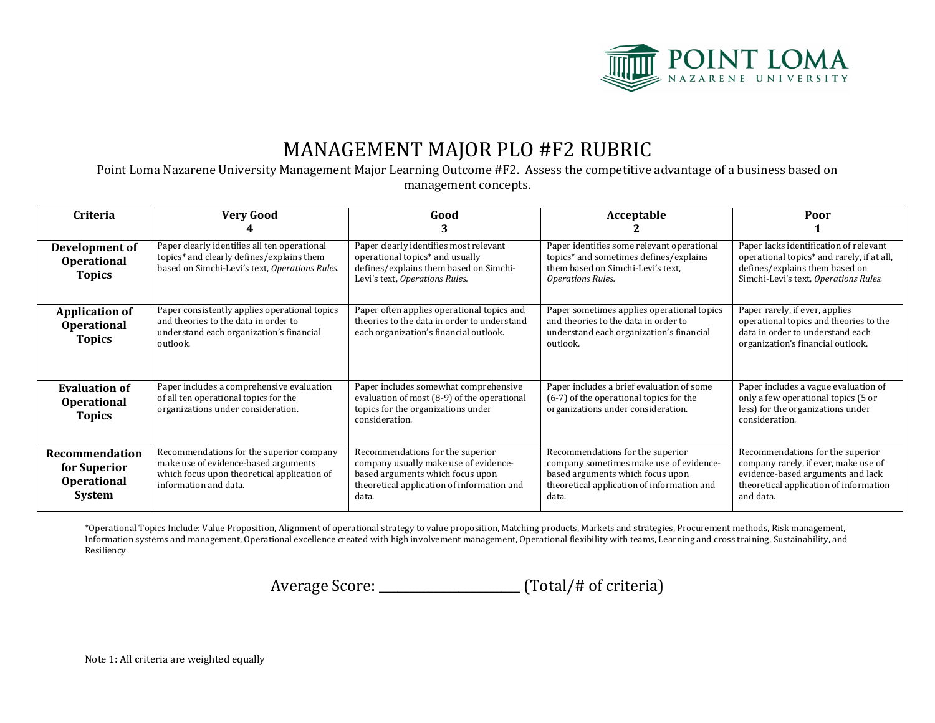

# MANAGEMENT MAJOR PLO #F2 RUBRIC

Point Loma Nazarene University Management Major Learning Outcome #F2. Assess the competitive advantage of a business based on management concepts.

| <b>Criteria</b>                                                       | <b>Very Good</b>                                                                                                                                         | Good                                                                                                                                                                 | Acceptable                                                                                                                                                             | Poor                                                                                                                                                                 |
|-----------------------------------------------------------------------|----------------------------------------------------------------------------------------------------------------------------------------------------------|----------------------------------------------------------------------------------------------------------------------------------------------------------------------|------------------------------------------------------------------------------------------------------------------------------------------------------------------------|----------------------------------------------------------------------------------------------------------------------------------------------------------------------|
| Development of<br><b>Operational</b><br><b>Topics</b>                 | Paper clearly identifies all ten operational<br>topics* and clearly defines/explains them<br>based on Simchi-Levi's text, Operations Rules.              | Paper clearly identifies most relevant<br>operational topics* and usually<br>defines/explains them based on Simchi-<br>Levi's text, Operations Rules.                | Paper identifies some relevant operational<br>topics* and sometimes defines/explains<br>them based on Simchi-Levi's text,<br><b>Operations Rules.</b>                  | Paper lacks identification of relevant<br>operational topics* and rarely, if at all,<br>defines/explains them based on<br>Simchi-Levi's text, Operations Rules.      |
| <b>Application of</b><br><b>Operational</b><br><b>Topics</b>          | Paper consistently applies operational topics<br>and theories to the data in order to<br>understand each organization's financial<br>outlook.            | Paper often applies operational topics and<br>theories to the data in order to understand<br>each organization's financial outlook.                                  | Paper sometimes applies operational topics<br>and theories to the data in order to<br>understand each organization's financial<br>outlook.                             | Paper rarely, if ever, applies<br>operational topics and theories to the<br>data in order to understand each<br>organization's financial outlook.                    |
| <b>Evaluation of</b><br><b>Operational</b><br><b>Topics</b>           | Paper includes a comprehensive evaluation<br>of all ten operational topics for the<br>organizations under consideration.                                 | Paper includes somewhat comprehensive<br>evaluation of most (8-9) of the operational<br>topics for the organizations under<br>consideration.                         | Paper includes a brief evaluation of some<br>(6-7) of the operational topics for the<br>organizations under consideration.                                             | Paper includes a vague evaluation of<br>only a few operational topics (5 or<br>less) for the organizations under<br>consideration.                                   |
| Recommendation<br>for Superior<br><b>Operational</b><br><b>System</b> | Recommendations for the superior company<br>make use of evidence-based arguments<br>which focus upon theoretical application of<br>information and data. | Recommendations for the superior<br>company usually make use of evidence-<br>based arguments which focus upon<br>theoretical application of information and<br>data. | Recommendations for the superior<br>company sometimes make use of evidence-<br>based arguments which focus upon<br>theoretical application of information and<br>data. | Recommendations for the superior<br>company rarely, if ever, make use of<br>evidence-based arguments and lack<br>theoretical application of information<br>and data. |

\*Operational Topics Include: Value Proposition, Alignment of operational strategy to value proposition, Matching products, Markets and strategies, Procurement methods, Risk management, Information systems and management, Operational excellence created with high involvement management, Operational flexibility with teams, Learning and cross training, Sustainability, and Resiliency

Average Score: \_\_\_\_\_\_\_\_\_\_\_\_\_\_\_\_\_\_\_\_\_\_\_\_\_\_ (Total/# of criteria)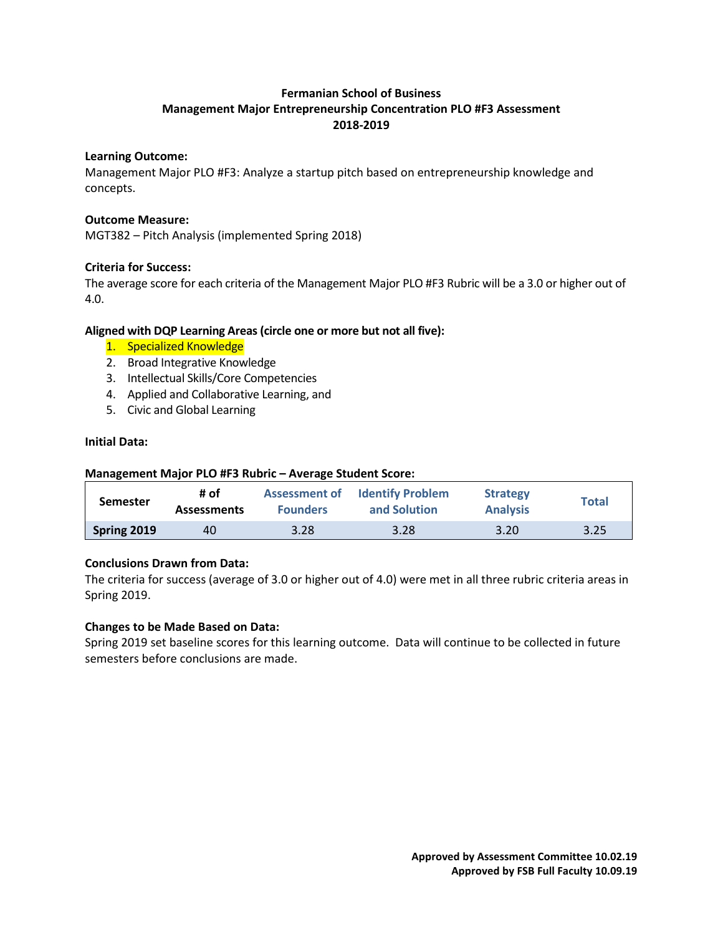# **Fermanian School of Business Management Major Entrepreneurship Concentration PLO #F3 Assessment 2018-2019**

#### **Learning Outcome:**

Management Major PLO #F3: Analyze a startup pitch based on entrepreneurship knowledge and concepts.

#### **Outcome Measure:**

MGT382 – Pitch Analysis (implemented Spring 2018)

#### **Criteria for Success:**

The average score for each criteria of the Management Major PLO #F3 Rubric will be a 3.0 or higher out of 4.0.

#### **Aligned with DQP Learning Areas (circle one or more but not all five):**

- 1. Specialized Knowledge
- 2. Broad Integrative Knowledge
- 3. Intellectual Skills/Core Competencies
- 4. Applied and Collaborative Learning, and
- 5. Civic and Global Learning

#### **Initial Data:**

#### **Management Major PLO #F3 Rubric – Average Student Score:**

| <b>Semester</b> | # of<br><b>Assessments</b> | <b>Founders</b> | <b>Assessment of Identify Problem</b><br>and Solution | <b>Strategy</b><br><b>Analysis</b> | <b>Total</b> |
|-----------------|----------------------------|-----------------|-------------------------------------------------------|------------------------------------|--------------|
| Spring 2019     | 40                         | 3.28            | 3.28                                                  | 3.20                               | 3.25         |

# **Conclusions Drawn from Data:**

The criteria for success (average of 3.0 or higher out of 4.0) were met in all three rubric criteria areas in Spring 2019.

# **Changes to be Made Based on Data:**

Spring 2019 set baseline scores for this learning outcome. Data will continue to be collected in future semesters before conclusions are made.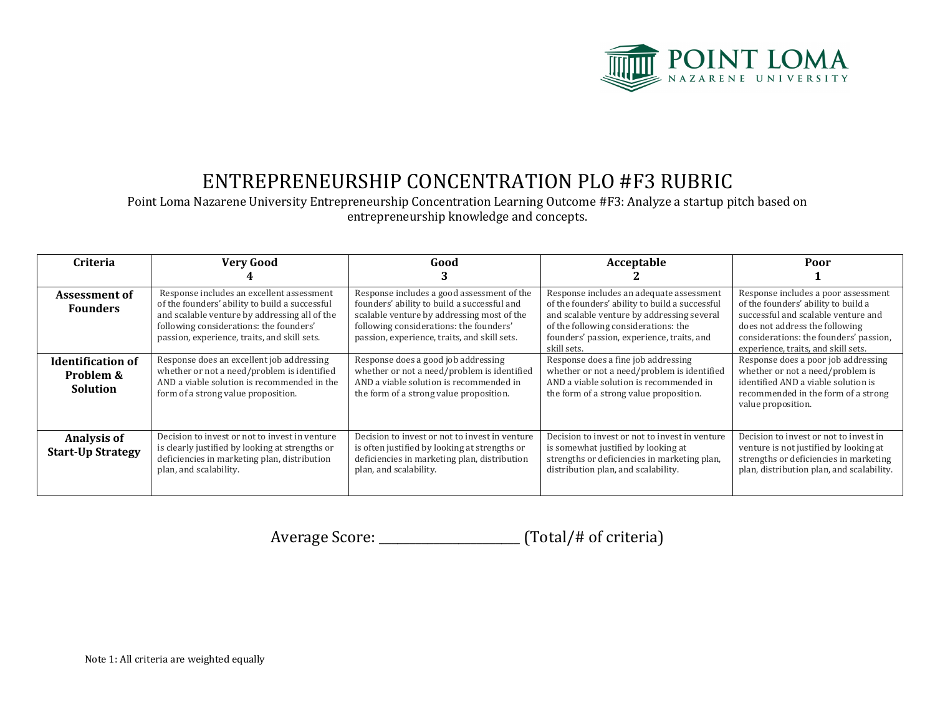

# ENTREPRENEURSHIP CONCENTRATION PLO #F3 RUBRIC

Point Loma Nazarene University Entrepreneurship Concentration Learning Outcome #F3: Analyze a startup pitch based on entrepreneurship knowledge and concepts.

| Criteria                                                 | <b>Very Good</b>                                                                                                                                                                                                                        | Good                                                                                                                                                                                                                               | Acceptable                                                                                                                                                                                                                                    | Poor                                                                                                                                                                                                                                 |
|----------------------------------------------------------|-----------------------------------------------------------------------------------------------------------------------------------------------------------------------------------------------------------------------------------------|------------------------------------------------------------------------------------------------------------------------------------------------------------------------------------------------------------------------------------|-----------------------------------------------------------------------------------------------------------------------------------------------------------------------------------------------------------------------------------------------|--------------------------------------------------------------------------------------------------------------------------------------------------------------------------------------------------------------------------------------|
|                                                          |                                                                                                                                                                                                                                         |                                                                                                                                                                                                                                    |                                                                                                                                                                                                                                               |                                                                                                                                                                                                                                      |
| Assessment of<br><b>Founders</b>                         | Response includes an excellent assessment<br>of the founders' ability to build a successful<br>and scalable venture by addressing all of the<br>following considerations: the founders'<br>passion, experience, traits, and skill sets. | Response includes a good assessment of the<br>founders' ability to build a successful and<br>scalable venture by addressing most of the<br>following considerations: the founders'<br>passion, experience, traits, and skill sets. | Response includes an adequate assessment<br>of the founders' ability to build a successful<br>and scalable venture by addressing several<br>of the following considerations: the<br>founders' passion, experience, traits, and<br>skill sets. | Response includes a poor assessment<br>of the founders' ability to build a<br>successful and scalable venture and<br>does not address the following<br>considerations: the founders' passion,<br>experience, traits, and skill sets. |
| <b>Identification of</b><br>Problem &<br><b>Solution</b> | Response does an excellent job addressing<br>whether or not a need/problem is identified<br>AND a viable solution is recommended in the<br>form of a strong value proposition.                                                          | Response does a good job addressing<br>whether or not a need/problem is identified<br>AND a viable solution is recommended in<br>the form of a strong value proposition.                                                           | Response does a fine job addressing<br>whether or not a need/problem is identified<br>AND a viable solution is recommended in<br>the form of a strong value proposition.                                                                      | Response does a poor job addressing<br>whether or not a need/problem is<br>identified AND a viable solution is<br>recommended in the form of a strong<br>value proposition.                                                          |
| Analysis of<br><b>Start-Up Strategy</b>                  | Decision to invest or not to invest in venture<br>is clearly justified by looking at strengths or<br>deficiencies in marketing plan, distribution<br>plan, and scalability.                                                             | Decision to invest or not to invest in venture<br>is often justified by looking at strengths or<br>deficiencies in marketing plan, distribution<br>plan, and scalability.                                                          | Decision to invest or not to invest in venture<br>is somewhat justified by looking at<br>strengths or deficiencies in marketing plan,<br>distribution plan, and scalability.                                                                  | Decision to invest or not to invest in<br>venture is not justified by looking at<br>strengths or deficiencies in marketing<br>plan, distribution plan, and scalability.                                                              |

Average Score: \_\_\_\_\_\_\_\_\_\_\_\_\_\_\_\_\_\_\_\_\_\_\_\_\_\_ (Total/# of criteria)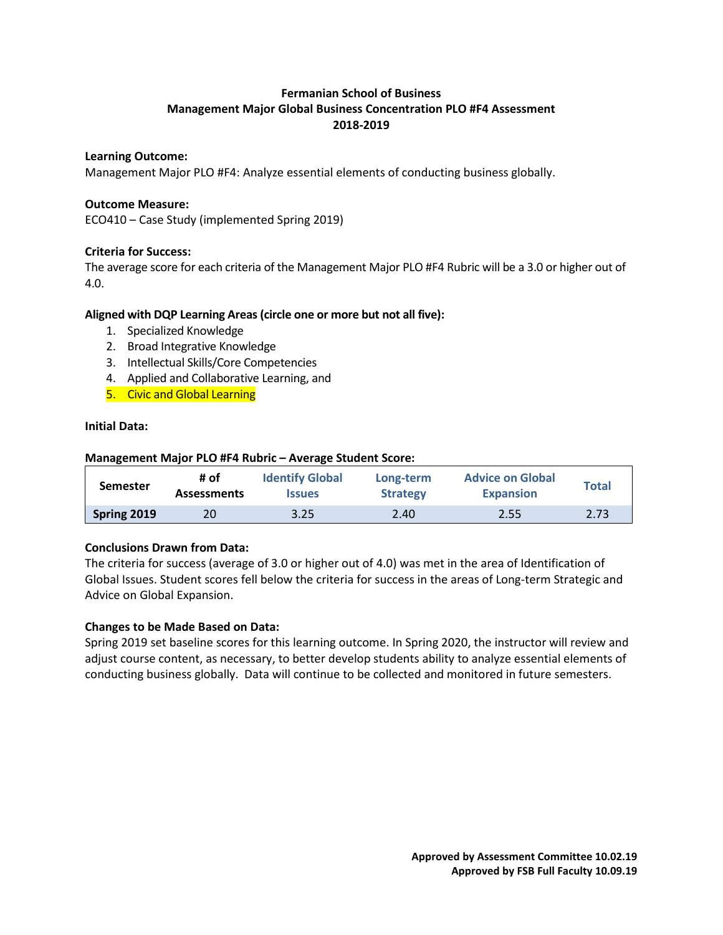# **Fermanian School of Business Management Major Global Business Concentration PLO #F4 Assessment 2018-2019**

#### **Learning Outcome:**

Management Major PLO #F4: Analyze essential elements of conducting business globally.

#### **Outcome Measure:**

ECO410 – Case Study (implemented Spring 2019)

# **Criteria for Success:**

The average score for each criteria of the Management Major PLO #F4 Rubric will be a 3.0 or higher out of 4.0.

#### **Aligned with DQP Learning Areas (circle one or more but not all five):**

- 1. Specialized Knowledge
- 2. Broad Integrative Knowledge
- 3. Intellectual Skills/Core Competencies
- 4. Applied and Collaborative Learning, and

**Management Major PLO #F4 Rubric – Average Student Score:**

5. Civic and Global Learning

#### **Initial Data:**

| -Nianagement Major PLO #F4 Rubric – Average Student Score: |                            |                                         |                              |                                             |              |
|------------------------------------------------------------|----------------------------|-----------------------------------------|------------------------------|---------------------------------------------|--------------|
| <b>Semester</b>                                            | # of<br><b>Assessments</b> | <b>Identify Global</b><br><b>Issues</b> | Long-term<br><b>Strategy</b> | <b>Advice on Global</b><br><b>Expansion</b> | <b>Total</b> |
| Spring 2019                                                | 20                         | 3.25                                    | 2.40                         | 2.55                                        | 2.73         |

# **Conclusions Drawn from Data:**

The criteria for success (average of 3.0 or higher out of 4.0) was met in the area of Identification of Global Issues. Student scores fell below the criteria for success in the areas of Long-term Strategic and Advice on Global Expansion.

# **Changes to be Made Based on Data:**

Spring 2019 set baseline scores for this learning outcome. In Spring 2020, the instructor will review and adjust course content, as necessary, to better develop students ability to analyze essential elements of conducting business globally. Data will continue to be collected and monitored in future semesters.